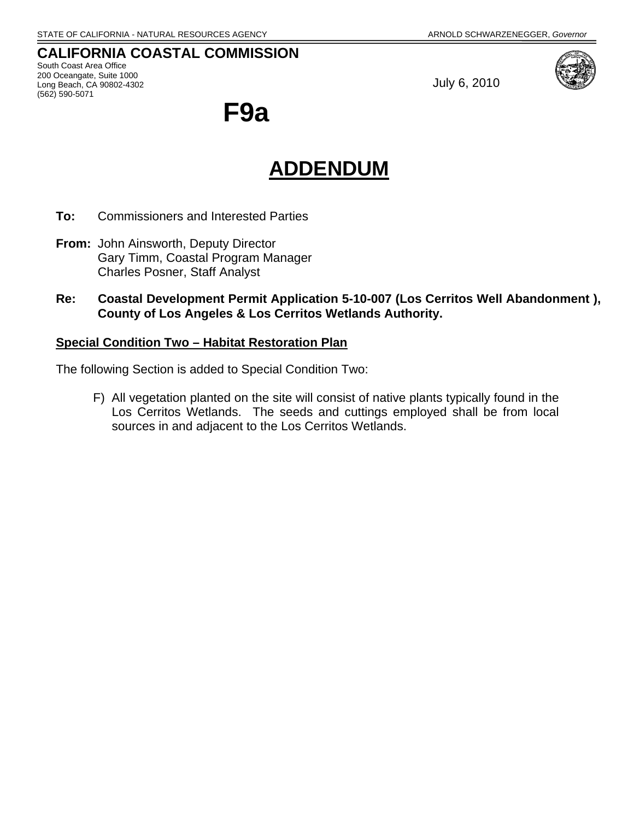# **CALIFORNIA COASTAL COMMISSION**

South Coast Area Office 200 Oceangate, Suite 1000 Long Beach, CA 90802-4302 (562) 590-5071

July 6, 2010



**F9a** 

# **ADDENDUM**

- **To:** Commissioners and Interested Parties
- **From:** John Ainsworth, Deputy Director Gary Timm, Coastal Program Manager Charles Posner, Staff Analyst
- **Re: Coastal Development Permit Application 5-10-007 (Los Cerritos Well Abandonment ), County of Los Angeles & Los Cerritos Wetlands Authority.**

# **Special Condition Two – Habitat Restoration Plan**

The following Section is added to Special Condition Two:

F) All vegetation planted on the site will consist of native plants typically found in the Los Cerritos Wetlands. The seeds and cuttings employed shall be from local sources in and adjacent to the Los Cerritos Wetlands.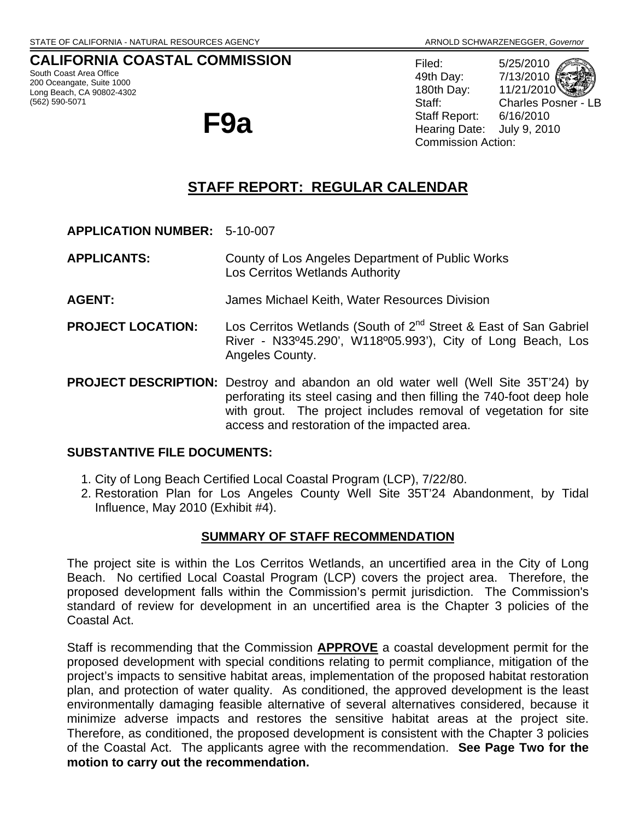# **CALIFORNIA COASTAL COMMISSION**

South Coast Area Office 200 Oceangate, Suite 1000 Long Beach, CA 90802-4302 (562) 590-5071



Filed: 5/25/2010 49th Day: 7/13/2010 180th Day: 11/21/2010 Staff: Charles Posner - LB Staff Report: 6/16/2010 Hearing Date: July 9, 2010 Commission Action:

# **STAFF REPORT: REGULAR CALENDAR**

- **APPLICATION NUMBER:** 5-10-007
- **APPLICANTS:** County of Los Angeles Department of Public Works Los Cerritos Wetlands Authority
- **AGENT:** James Michael Keith, Water Resources Division
- **PROJECT LOCATION:** Los Cerritos Wetlands (South of 2<sup>nd</sup> Street & East of San Gabriel River - N33º45.290', W118º05.993'), City of Long Beach, Los Angeles County.
- **PROJECT DESCRIPTION:** Destroy and abandon an old water well (Well Site 35T'24) by perforating its steel casing and then filling the 740-foot deep hole with grout. The project includes removal of vegetation for site access and restoration of the impacted area.

# **SUBSTANTIVE FILE DOCUMENTS:**

- 1. City of Long Beach Certified Local Coastal Program (LCP), 7/22/80.
- 2. Restoration Plan for Los Angeles County Well Site 35T'24 Abandonment, by Tidal Influence, May 2010 (Exhibit #4).

# **SUMMARY OF STAFF RECOMMENDATION**

The project site is within the Los Cerritos Wetlands, an uncertified area in the City of Long Beach. No certified Local Coastal Program (LCP) covers the project area. Therefore, the proposed development falls within the Commission's permit jurisdiction. The Commission's standard of review for development in an uncertified area is the Chapter 3 policies of the Coastal Act.

Staff is recommending that the Commission **APPROVE** a coastal development permit for the proposed development with special conditions relating to permit compliance, mitigation of the project's impacts to sensitive habitat areas, implementation of the proposed habitat restoration plan, and protection of water quality. As conditioned, the approved development is the least environmentally damaging feasible alternative of several alternatives considered, because it minimize adverse impacts and restores the sensitive habitat areas at the project site. Therefore, as conditioned, the proposed development is consistent with the Chapter 3 policies of the Coastal Act. The applicants agree with the recommendation. **See Page Two for the motion to carry out the recommendation.**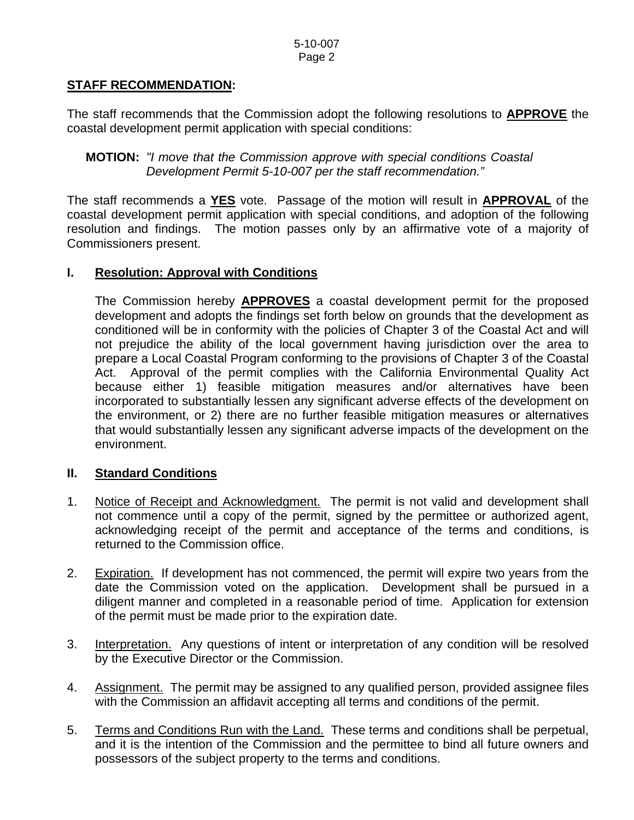# **STAFF RECOMMENDATION:**

The staff recommends that the Commission adopt the following resolutions to **APPROVE** the coastal development permit application with special conditions:

**MOTION:** *"I move that the Commission approve with special conditions Coastal Development Permit 5-10-007 per the staff recommendation."* 

The staff recommends a **YES** vote. Passage of the motion will result in **APPROVAL** of the coastal development permit application with special conditions, and adoption of the following resolution and findings. The motion passes only by an affirmative vote of a majority of Commissioners present.

# **I. Resolution: Approval with Conditions**

 The Commission hereby **APPROVES** a coastal development permit for the proposed development and adopts the findings set forth below on grounds that the development as conditioned will be in conformity with the policies of Chapter 3 of the Coastal Act and will not prejudice the ability of the local government having jurisdiction over the area to prepare a Local Coastal Program conforming to the provisions of Chapter 3 of the Coastal Act. Approval of the permit complies with the California Environmental Quality Act because either 1) feasible mitigation measures and/or alternatives have been incorporated to substantially lessen any significant adverse effects of the development on the environment, or 2) there are no further feasible mitigation measures or alternatives that would substantially lessen any significant adverse impacts of the development on the environment.

# **II. Standard Conditions**

- 1. Notice of Receipt and Acknowledgment. The permit is not valid and development shall not commence until a copy of the permit, signed by the permittee or authorized agent, acknowledging receipt of the permit and acceptance of the terms and conditions, is returned to the Commission office.
- 2. Expiration. If development has not commenced, the permit will expire two years from the date the Commission voted on the application. Development shall be pursued in a diligent manner and completed in a reasonable period of time. Application for extension of the permit must be made prior to the expiration date.
- 3. Interpretation. Any questions of intent or interpretation of any condition will be resolved by the Executive Director or the Commission.
- 4. Assignment. The permit may be assigned to any qualified person, provided assignee files with the Commission an affidavit accepting all terms and conditions of the permit.
- 5. Terms and Conditions Run with the Land. These terms and conditions shall be perpetual, and it is the intention of the Commission and the permittee to bind all future owners and possessors of the subject property to the terms and conditions.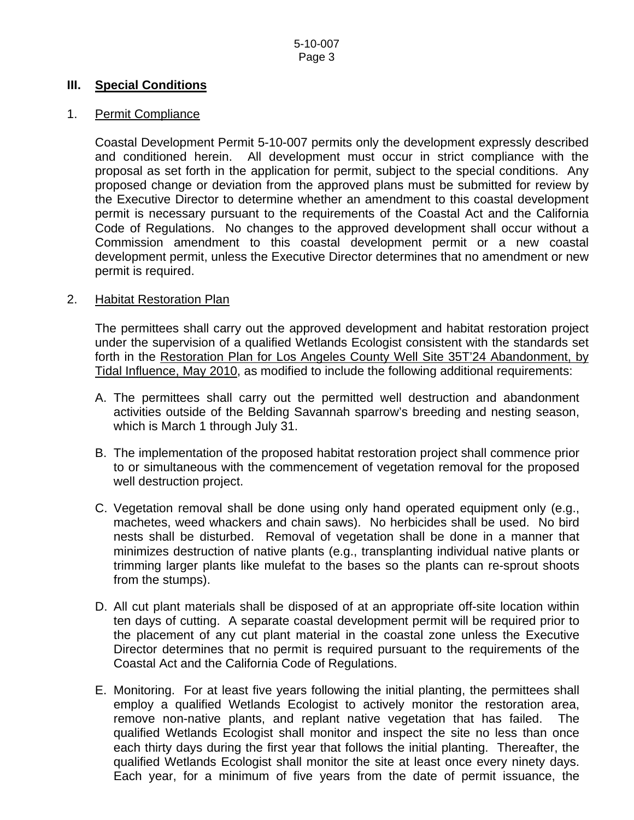# **III. Special Conditions**

# 1. Permit Compliance

Coastal Development Permit 5-10-007 permits only the development expressly described and conditioned herein. All development must occur in strict compliance with the proposal as set forth in the application for permit, subject to the special conditions. Any proposed change or deviation from the approved plans must be submitted for review by the Executive Director to determine whether an amendment to this coastal development permit is necessary pursuant to the requirements of the Coastal Act and the California Code of Regulations. No changes to the approved development shall occur without a Commission amendment to this coastal development permit or a new coastal development permit, unless the Executive Director determines that no amendment or new permit is required.

# 2. Habitat Restoration Plan

The permittees shall carry out the approved development and habitat restoration project under the supervision of a qualified Wetlands Ecologist consistent with the standards set forth in the Restoration Plan for Los Angeles County Well Site 35T'24 Abandonment, by Tidal Influence, May 2010, as modified to include the following additional requirements:

- A. The permittees shall carry out the permitted well destruction and abandonment activities outside of the Belding Savannah sparrow's breeding and nesting season, which is March 1 through July 31.
- B. The implementation of the proposed habitat restoration project shall commence prior to or simultaneous with the commencement of vegetation removal for the proposed well destruction project.
- C. Vegetation removal shall be done using only hand operated equipment only (e.g., machetes, weed whackers and chain saws). No herbicides shall be used. No bird nests shall be disturbed. Removal of vegetation shall be done in a manner that minimizes destruction of native plants (e.g., transplanting individual native plants or trimming larger plants like mulefat to the bases so the plants can re-sprout shoots from the stumps).
- D. All cut plant materials shall be disposed of at an appropriate off-site location within ten days of cutting. A separate coastal development permit will be required prior to the placement of any cut plant material in the coastal zone unless the Executive Director determines that no permit is required pursuant to the requirements of the Coastal Act and the California Code of Regulations.
- E. Monitoring. For at least five years following the initial planting, the permittees shall employ a qualified Wetlands Ecologist to actively monitor the restoration area, remove non-native plants, and replant native vegetation that has failed. The qualified Wetlands Ecologist shall monitor and inspect the site no less than once each thirty days during the first year that follows the initial planting. Thereafter, the qualified Wetlands Ecologist shall monitor the site at least once every ninety days. Each year, for a minimum of five years from the date of permit issuance, the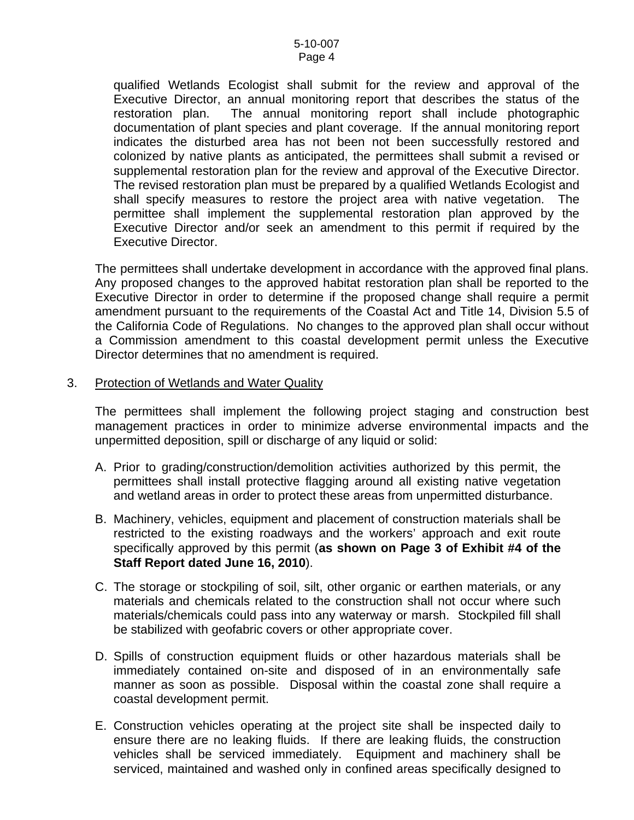qualified Wetlands Ecologist shall submit for the review and approval of the Executive Director, an annual monitoring report that describes the status of the restoration plan. The annual monitoring report shall include photographic documentation of plant species and plant coverage. If the annual monitoring report indicates the disturbed area has not been not been successfully restored and colonized by native plants as anticipated, the permittees shall submit a revised or supplemental restoration plan for the review and approval of the Executive Director. The revised restoration plan must be prepared by a qualified Wetlands Ecologist and shall specify measures to restore the project area with native vegetation. The permittee shall implement the supplemental restoration plan approved by the Executive Director and/or seek an amendment to this permit if required by the Executive Director.

The permittees shall undertake development in accordance with the approved final plans. Any proposed changes to the approved habitat restoration plan shall be reported to the Executive Director in order to determine if the proposed change shall require a permit amendment pursuant to the requirements of the Coastal Act and Title 14, Division 5.5 of the California Code of Regulations. No changes to the approved plan shall occur without a Commission amendment to this coastal development permit unless the Executive Director determines that no amendment is required.

## 3. Protection of Wetlands and Water Quality

The permittees shall implement the following project staging and construction best management practices in order to minimize adverse environmental impacts and the unpermitted deposition, spill or discharge of any liquid or solid:

- A. Prior to grading/construction/demolition activities authorized by this permit, the permittees shall install protective flagging around all existing native vegetation and wetland areas in order to protect these areas from unpermitted disturbance.
- B. Machinery, vehicles, equipment and placement of construction materials shall be restricted to the existing roadways and the workers' approach and exit route specifically approved by this permit (**as shown on Page 3 of Exhibit #4 of the Staff Report dated June 16, 2010**).
- C. The storage or stockpiling of soil, silt, other organic or earthen materials, or any materials and chemicals related to the construction shall not occur where such materials/chemicals could pass into any waterway or marsh. Stockpiled fill shall be stabilized with geofabric covers or other appropriate cover.
- D. Spills of construction equipment fluids or other hazardous materials shall be immediately contained on-site and disposed of in an environmentally safe manner as soon as possible. Disposal within the coastal zone shall require a coastal development permit.
- E. Construction vehicles operating at the project site shall be inspected daily to ensure there are no leaking fluids. If there are leaking fluids, the construction vehicles shall be serviced immediately. Equipment and machinery shall be serviced, maintained and washed only in confined areas specifically designed to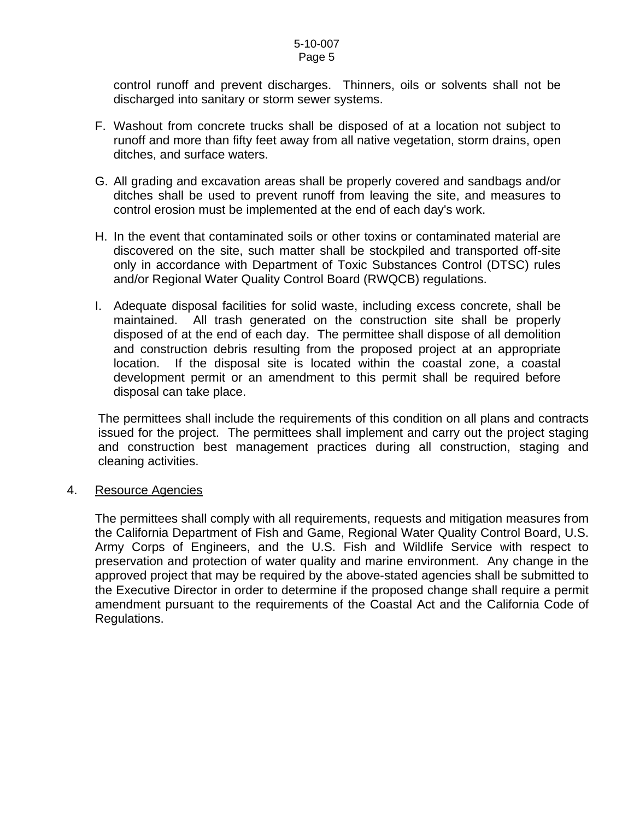## 5-10-007 Page 5

control runoff and prevent discharges. Thinners, oils or solvents shall not be discharged into sanitary or storm sewer systems.

- F. Washout from concrete trucks shall be disposed of at a location not subject to runoff and more than fifty feet away from all native vegetation, storm drains, open ditches, and surface waters.
- G. All grading and excavation areas shall be properly covered and sandbags and/or ditches shall be used to prevent runoff from leaving the site, and measures to control erosion must be implemented at the end of each day's work.
- H. In the event that contaminated soils or other toxins or contaminated material are discovered on the site, such matter shall be stockpiled and transported off-site only in accordance with Department of Toxic Substances Control (DTSC) rules and/or Regional Water Quality Control Board (RWQCB) regulations.
- I. Adequate disposal facilities for solid waste, including excess concrete, shall be maintained. All trash generated on the construction site shall be properly disposed of at the end of each day. The permittee shall dispose of all demolition and construction debris resulting from the proposed project at an appropriate location. If the disposal site is located within the coastal zone, a coastal development permit or an amendment to this permit shall be required before disposal can take place.

 The permittees shall include the requirements of this condition on all plans and contracts issued for the project. The permittees shall implement and carry out the project staging and construction best management practices during all construction, staging and cleaning activities.

# 4. Resource Agencies

The permittees shall comply with all requirements, requests and mitigation measures from the California Department of Fish and Game, Regional Water Quality Control Board, U.S. Army Corps of Engineers, and the U.S. Fish and Wildlife Service with respect to preservation and protection of water quality and marine environment. Any change in the approved project that may be required by the above-stated agencies shall be submitted to the Executive Director in order to determine if the proposed change shall require a permit amendment pursuant to the requirements of the Coastal Act and the California Code of Regulations.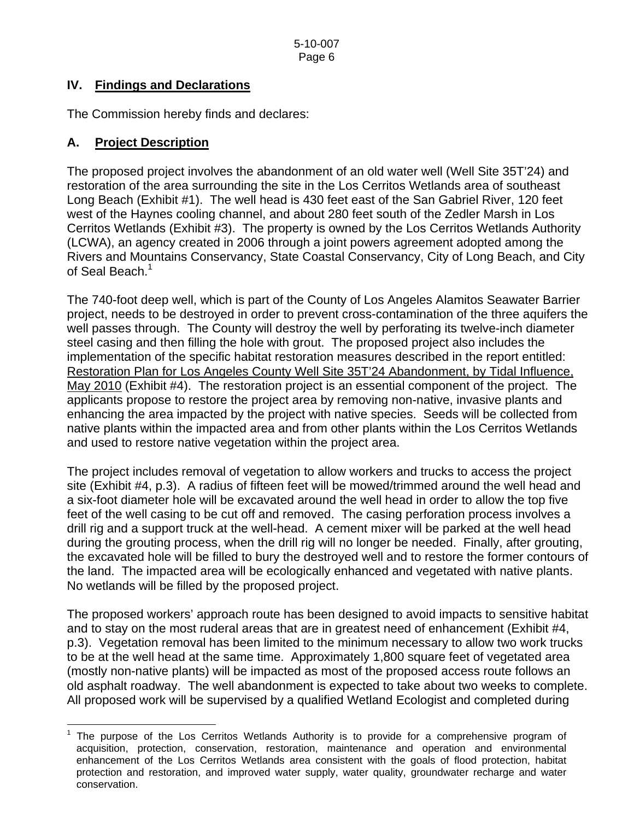# **IV. Findings and Declarations**

The Commission hereby finds and declares:

# **A. Project Description**

 $\overline{a}$ 

The proposed project involves the abandonment of an old water well (Well Site 35T'24) and restoration of the area surrounding the site in the Los Cerritos Wetlands area of southeast Long Beach (Exhibit #1). The well head is 430 feet east of the San Gabriel River, 120 feet west of the Haynes cooling channel, and about 280 feet south of the Zedler Marsh in Los Cerritos Wetlands (Exhibit #3). The property is owned by the Los Cerritos Wetlands Authority (LCWA), an agency created in 2006 through a joint powers agreement adopted among the [Rivers and Mountains Conservancy](http://www.rmc.ca.gov/), [State Coastal Conservancy](http://www.coastalconservancy.ca.gov/), [City of Long Beach](http://www.ci.long-beach.ca.us/), and [City](http://www.ci.seal-beach.ca.us/)  [of Seal Beach](http://www.ci.seal-beach.ca.us/).<sup>[1](#page-6-0)</sup>

The 740-foot deep well, which is part of the County of Los Angeles Alamitos Seawater Barrier project, needs to be destroyed in order to prevent cross-contamination of the three aquifers the well passes through. The County will destroy the well by perforating its twelve-inch diameter steel casing and then filling the hole with grout. The proposed project also includes the implementation of the specific habitat restoration measures described in the report entitled: Restoration Plan for Los Angeles County Well Site 35T'24 Abandonment, by Tidal Influence, May 2010 (Exhibit #4). The restoration project is an essential component of the project. The applicants propose to restore the project area by removing non-native, invasive plants and enhancing the area impacted by the project with native species. Seeds will be collected from native plants within the impacted area and from other plants within the Los Cerritos Wetlands and used to restore native vegetation within the project area.

The project includes removal of vegetation to allow workers and trucks to access the project site (Exhibit #4, p.3). A radius of fifteen feet will be mowed/trimmed around the well head and a six-foot diameter hole will be excavated around the well head in order to allow the top five feet of the well casing to be cut off and removed. The casing perforation process involves a drill rig and a support truck at the well-head. A cement mixer will be parked at the well head during the grouting process, when the drill rig will no longer be needed. Finally, after grouting, the excavated hole will be filled to bury the destroyed well and to restore the former contours of the land. The impacted area will be ecologically enhanced and vegetated with native plants. No wetlands will be filled by the proposed project.

The proposed workers' approach route has been designed to avoid impacts to sensitive habitat and to stay on the most ruderal areas that are in greatest need of enhancement (Exhibit #4, p.3). Vegetation removal has been limited to the minimum necessary to allow two work trucks to be at the well head at the same time. Approximately 1,800 square feet of vegetated area (mostly non-native plants) will be impacted as most of the proposed access route follows an old asphalt roadway. The well abandonment is expected to take about two weeks to complete. All proposed work will be supervised by a qualified Wetland Ecologist and completed during

<span id="page-6-0"></span><sup>&</sup>lt;sup>1</sup> The purpose of the Los Cerritos Wetlands Authority is to provide for a comprehensive program of acquisition, protection, conservation, restoration, maintenance and operation and environmental enhancement of the Los Cerritos Wetlands area consistent with the goals of flood protection, habitat protection and restoration, and improved water supply, water quality, groundwater recharge and water conservation.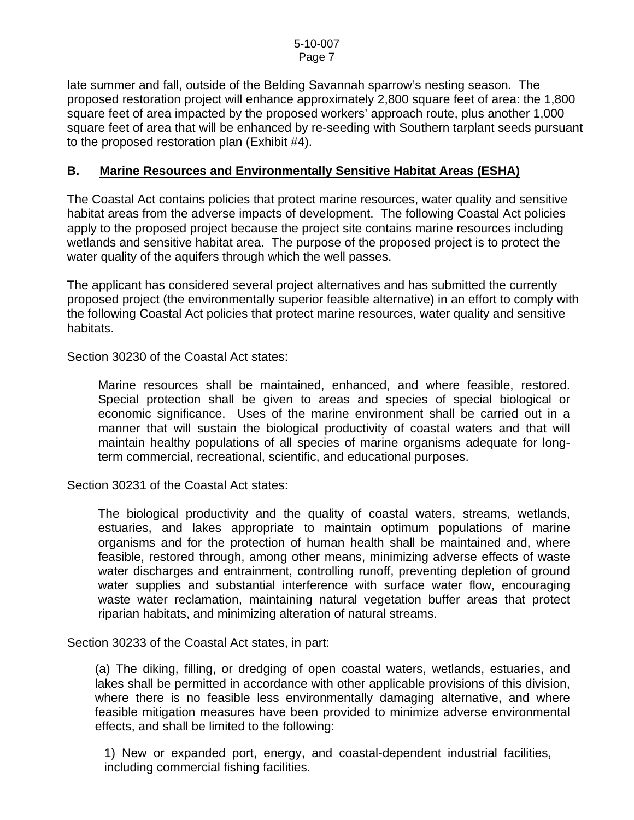late summer and fall, outside of the Belding Savannah sparrow's nesting season. The proposed restoration project will enhance approximately 2,800 square feet of area: the 1,800 square feet of area impacted by the proposed workers' approach route, plus another 1,000 square feet of area that will be enhanced by re-seeding with Southern tarplant seeds pursuant to the proposed restoration plan (Exhibit #4).

# **B. Marine Resources and Environmentally Sensitive Habitat Areas (ESHA)**

The Coastal Act contains policies that protect marine resources, water quality and sensitive habitat areas from the adverse impacts of development. The following Coastal Act policies apply to the proposed project because the project site contains marine resources including wetlands and sensitive habitat area. The purpose of the proposed project is to protect the water quality of the aquifers through which the well passes.

The applicant has considered several project alternatives and has submitted the currently proposed project (the environmentally superior feasible alternative) in an effort to comply with the following Coastal Act policies that protect marine resources, water quality and sensitive habitats.

Section 30230 of the Coastal Act states:

Marine resources shall be maintained, enhanced, and where feasible, restored. Special protection shall be given to areas and species of special biological or economic significance. Uses of the marine environment shall be carried out in a manner that will sustain the biological productivity of coastal waters and that will maintain healthy populations of all species of marine organisms adequate for longterm commercial, recreational, scientific, and educational purposes.

Section 30231 of the Coastal Act states:

The biological productivity and the quality of coastal waters, streams, wetlands, estuaries, and lakes appropriate to maintain optimum populations of marine organisms and for the protection of human health shall be maintained and, where feasible, restored through, among other means, minimizing adverse effects of waste water discharges and entrainment, controlling runoff, preventing depletion of ground water supplies and substantial interference with surface water flow, encouraging waste water reclamation, maintaining natural vegetation buffer areas that protect riparian habitats, and minimizing alteration of natural streams.

Section 30233 of the Coastal Act states, in part:

(a) The diking, filling, or dredging of open coastal waters, wetlands, estuaries, and lakes shall be permitted in accordance with other applicable provisions of this division, where there is no feasible less environmentally damaging alternative, and where feasible mitigation measures have been provided to minimize adverse environmental effects, and shall be limited to the following:

1) New or expanded port, energy, and coastal-dependent industrial facilities, including commercial fishing facilities.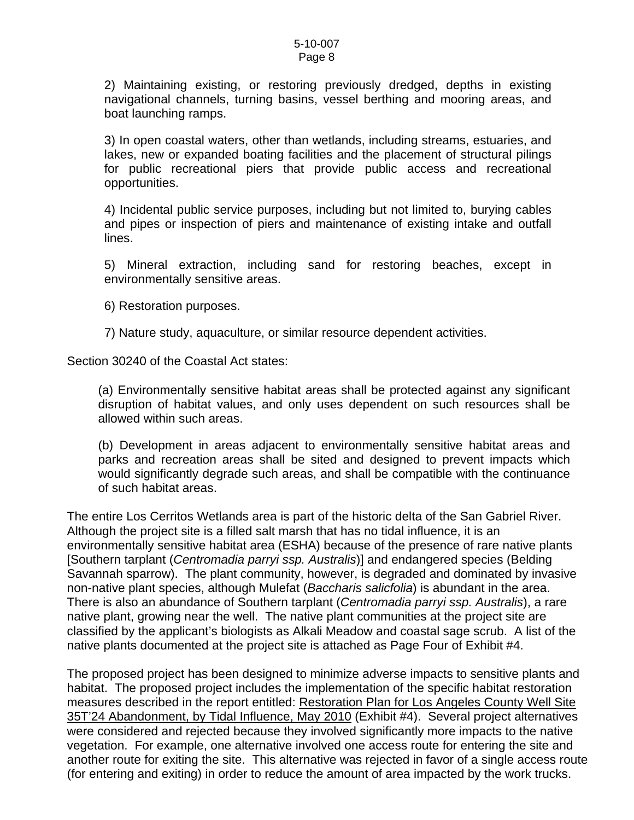2) Maintaining existing, or restoring previously dredged, depths in existing navigational channels, turning basins, vessel berthing and mooring areas, and boat launching ramps.

3) In open coastal waters, other than wetlands, including streams, estuaries, and lakes, new or expanded boating facilities and the placement of structural pilings for public recreational piers that provide public access and recreational opportunities.

4) Incidental public service purposes, including but not limited to, burying cables and pipes or inspection of piers and maintenance of existing intake and outfall lines.

5) Mineral extraction, including sand for restoring beaches, except in environmentally sensitive areas.

6) Restoration purposes.

7) Nature study, aquaculture, or similar resource dependent activities.

Section 30240 of the Coastal Act states:

(a) Environmentally sensitive habitat areas shall be protected against any significant disruption of habitat values, and only uses dependent on such resources shall be allowed within such areas.

(b) Development in areas adjacent to environmentally sensitive habitat areas and parks and recreation areas shall be sited and designed to prevent impacts which would significantly degrade such areas, and shall be compatible with the continuance of such habitat areas.

The entire Los Cerritos Wetlands area is part of the historic delta of the San Gabriel River. Although the project site is a filled salt marsh that has no tidal influence, it is an environmentally sensitive habitat area (ESHA) because of the presence of rare native plants [Southern tarplant (*Centromadia parryi ssp. Australis*)] and endangered species (Belding Savannah sparrow). The plant community, however, is degraded and dominated by invasive non-native plant species, although Mulefat (*Baccharis salicfolia*) is abundant in the area. There is also an abundance of Southern tarplant (*Centromadia parryi ssp. Australis*), a rare native plant, growing near the well. The native plant communities at the project site are classified by the applicant's biologists as Alkali Meadow and coastal sage scrub. A list of the native plants documented at the project site is attached as Page Four of Exhibit #4.

The proposed project has been designed to minimize adverse impacts to sensitive plants and habitat. The proposed project includes the implementation of the specific habitat restoration measures described in the report entitled: Restoration Plan for Los Angeles County Well Site 35T'24 Abandonment, by Tidal Influence, May 2010 (Exhibit #4). Several project alternatives were considered and rejected because they involved significantly more impacts to the native vegetation. For example, one alternative involved one access route for entering the site and another route for exiting the site. This alternative was rejected in favor of a single access route (for entering and exiting) in order to reduce the amount of area impacted by the work trucks.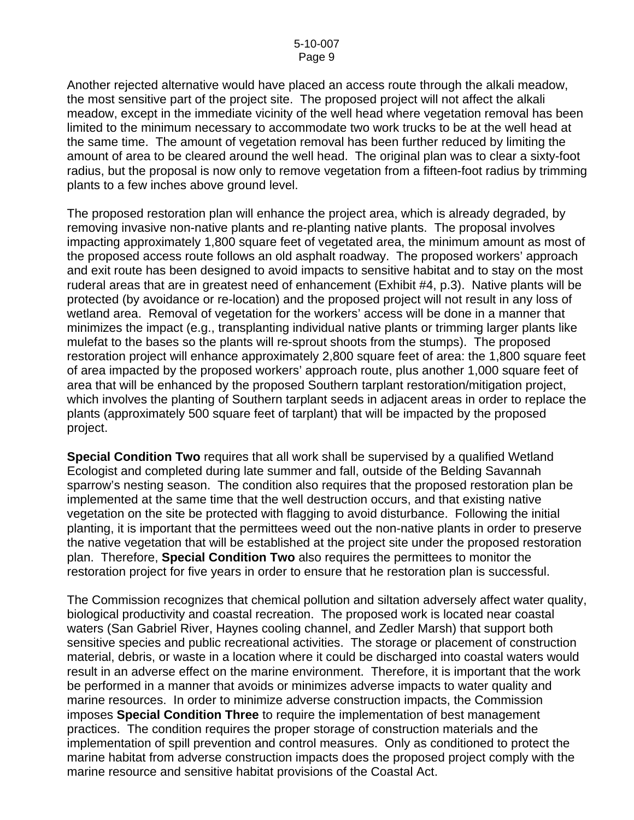Another rejected alternative would have placed an access route through the alkali meadow, the most sensitive part of the project site. The proposed project will not affect the alkali meadow, except in the immediate vicinity of the well head where vegetation removal has been limited to the minimum necessary to accommodate two work trucks to be at the well head at the same time. The amount of vegetation removal has been further reduced by limiting the amount of area to be cleared around the well head. The original plan was to clear a sixty-foot radius, but the proposal is now only to remove vegetation from a fifteen-foot radius by trimming plants to a few inches above ground level.

The proposed restoration plan will enhance the project area, which is already degraded, by removing invasive non-native plants and re-planting native plants. The proposal involves impacting approximately 1,800 square feet of vegetated area, the minimum amount as most of the proposed access route follows an old asphalt roadway. The proposed workers' approach and exit route has been designed to avoid impacts to sensitive habitat and to stay on the most ruderal areas that are in greatest need of enhancement (Exhibit #4, p.3). Native plants will be protected (by avoidance or re-location) and the proposed project will not result in any loss of wetland area. Removal of vegetation for the workers' access will be done in a manner that minimizes the impact (e.g., transplanting individual native plants or trimming larger plants like mulefat to the bases so the plants will re-sprout shoots from the stumps). The proposed restoration project will enhance approximately 2,800 square feet of area: the 1,800 square feet of area impacted by the proposed workers' approach route, plus another 1,000 square feet of area that will be enhanced by the proposed Southern tarplant restoration/mitigation project, which involves the planting of Southern tarplant seeds in adjacent areas in order to replace the plants (approximately 500 square feet of tarplant) that will be impacted by the proposed project.

**Special Condition Two** requires that all work shall be supervised by a qualified Wetland Ecologist and completed during late summer and fall, outside of the Belding Savannah sparrow's nesting season. The condition also requires that the proposed restoration plan be implemented at the same time that the well destruction occurs, and that existing native vegetation on the site be protected with flagging to avoid disturbance. Following the initial planting, it is important that the permittees weed out the non-native plants in order to preserve the native vegetation that will be established at the project site under the proposed restoration plan. Therefore, **Special Condition Two** also requires the permittees to monitor the restoration project for five years in order to ensure that he restoration plan is successful.

The Commission recognizes that chemical pollution and siltation adversely affect water quality, biological productivity and coastal recreation. The proposed work is located near coastal waters (San Gabriel River, Haynes cooling channel, and Zedler Marsh) that support both sensitive species and public recreational activities. The storage or placement of construction material, debris, or waste in a location where it could be discharged into coastal waters would result in an adverse effect on the marine environment. Therefore, it is important that the work be performed in a manner that avoids or minimizes adverse impacts to water quality and marine resources. In order to minimize adverse construction impacts, the Commission imposes **Special Condition Three** to require the implementation of best management practices. The condition requires the proper storage of construction materials and the implementation of spill prevention and control measures. Only as conditioned to protect the marine habitat from adverse construction impacts does the proposed project comply with the marine resource and sensitive habitat provisions of the Coastal Act.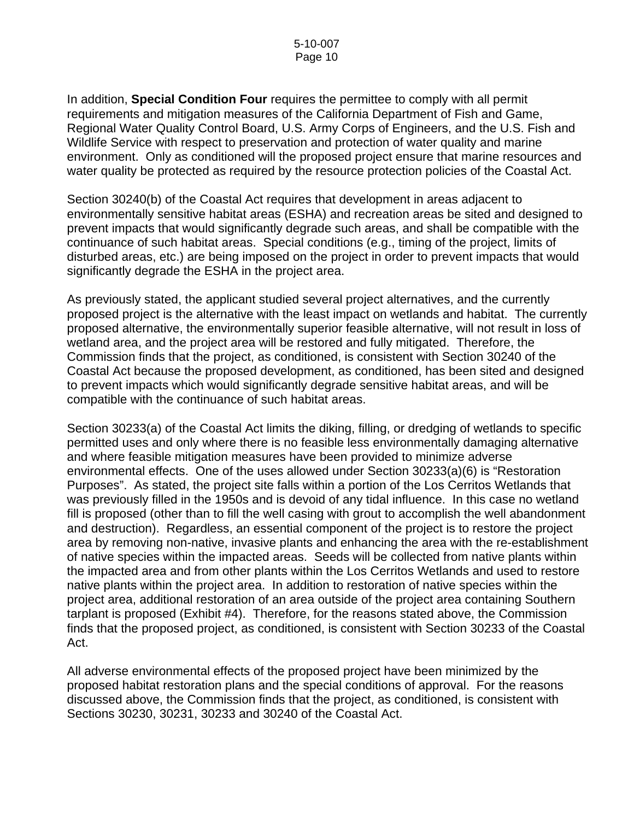In addition, **Special Condition Four** requires the permittee to comply with all permit requirements and mitigation measures of the California Department of Fish and Game, Regional Water Quality Control Board, U.S. Army Corps of Engineers, and the U.S. Fish and Wildlife Service with respect to preservation and protection of water quality and marine environment. Only as conditioned will the proposed project ensure that marine resources and water quality be protected as required by the resource protection policies of the Coastal Act.

Section 30240(b) of the Coastal Act requires that development in areas adjacent to environmentally sensitive habitat areas (ESHA) and recreation areas be sited and designed to prevent impacts that would significantly degrade such areas, and shall be compatible with the continuance of such habitat areas. Special conditions (e.g., timing of the project, limits of disturbed areas, etc.) are being imposed on the project in order to prevent impacts that would significantly degrade the ESHA in the project area.

As previously stated, the applicant studied several project alternatives, and the currently proposed project is the alternative with the least impact on wetlands and habitat. The currently proposed alternative, the environmentally superior feasible alternative, will not result in loss of wetland area, and the project area will be restored and fully mitigated. Therefore, the Commission finds that the project, as conditioned, is consistent with Section 30240 of the Coastal Act because the proposed development, as conditioned, has been sited and designed to prevent impacts which would significantly degrade sensitive habitat areas, and will be compatible with the continuance of such habitat areas.

Section 30233(a) of the Coastal Act limits the diking, filling, or dredging of wetlands to specific permitted uses and only where there is no feasible less environmentally damaging alternative and where feasible mitigation measures have been provided to minimize adverse environmental effects. One of the uses allowed under Section 30233(a)(6) is "Restoration Purposes". As stated, the project site falls within a portion of the Los Cerritos Wetlands that was previously filled in the 1950s and is devoid of any tidal influence. In this case no wetland fill is proposed (other than to fill the well casing with grout to accomplish the well abandonment and destruction). Regardless, an essential component of the project is to restore the project area by removing non-native, invasive plants and enhancing the area with the re-establishment of native species within the impacted areas. Seeds will be collected from native plants within the impacted area and from other plants within the Los Cerritos Wetlands and used to restore native plants within the project area. In addition to restoration of native species within the project area, additional restoration of an area outside of the project area containing Southern tarplant is proposed (Exhibit #4). Therefore, for the reasons stated above, the Commission finds that the proposed project, as conditioned, is consistent with Section 30233 of the Coastal Act.

All adverse environmental effects of the proposed project have been minimized by the proposed habitat restoration plans and the special conditions of approval. For the reasons discussed above, the Commission finds that the project, as conditioned, is consistent with Sections 30230, 30231, 30233 and 30240 of the Coastal Act.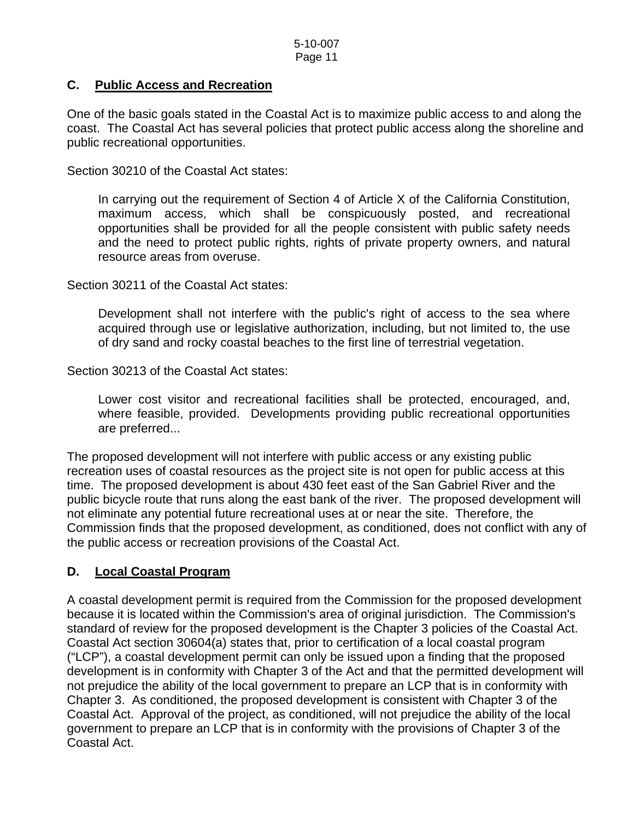# **C. Public Access and Recreation**

One of the basic goals stated in the Coastal Act is to maximize public access to and along the coast. The Coastal Act has several policies that protect public access along the shoreline and public recreational opportunities.

Section 30210 of the Coastal Act states:

In carrying out the requirement of Section 4 of Article X of the California Constitution, maximum access, which shall be conspicuously posted, and recreational opportunities shall be provided for all the people consistent with public safety needs and the need to protect public rights, rights of private property owners, and natural resource areas from overuse.

Section 30211 of the Coastal Act states:

Development shall not interfere with the public's right of access to the sea where acquired through use or legislative authorization, including, but not limited to, the use of dry sand and rocky coastal beaches to the first line of terrestrial vegetation.

Section 30213 of the Coastal Act states:

Lower cost visitor and recreational facilities shall be protected, encouraged, and, where feasible, provided. Developments providing public recreational opportunities are preferred...

The proposed development will not interfere with public access or any existing public recreation uses of coastal resources as the project site is not open for public access at this time. The proposed development is about 430 feet east of the San Gabriel River and the public bicycle route that runs along the east bank of the river. The proposed development will not eliminate any potential future recreational uses at or near the site. Therefore, the Commission finds that the proposed development, as conditioned, does not conflict with any of the public access or recreation provisions of the Coastal Act.

# **D. Local Coastal Program**

A coastal development permit is required from the Commission for the proposed development because it is located within the Commission's area of original jurisdiction. The Commission's standard of review for the proposed development is the Chapter 3 policies of the Coastal Act. Coastal Act section 30604(a) states that, prior to certification of a local coastal program ("LCP"), a coastal development permit can only be issued upon a finding that the proposed development is in conformity with Chapter 3 of the Act and that the permitted development will not prejudice the ability of the local government to prepare an LCP that is in conformity with Chapter 3. As conditioned, the proposed development is consistent with Chapter 3 of the Coastal Act. Approval of the project, as conditioned, will not prejudice the ability of the local government to prepare an LCP that is in conformity with the provisions of Chapter 3 of the Coastal Act.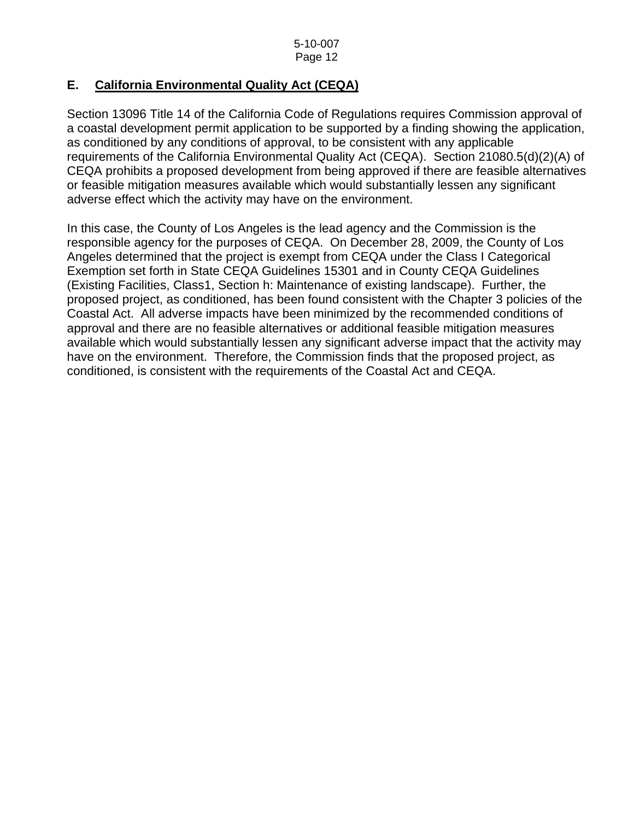# **E. California Environmental Quality Act (CEQA)**

Section 13096 Title 14 of the California Code of Regulations requires Commission approval of a coastal development permit application to be supported by a finding showing the application, as conditioned by any conditions of approval, to be consistent with any applicable requirements of the California Environmental Quality Act (CEQA). Section 21080.5(d)(2)(A) of CEQA prohibits a proposed development from being approved if there are feasible alternatives or feasible mitigation measures available which would substantially lessen any significant adverse effect which the activity may have on the environment.

In this case, the County of Los Angeles is the lead agency and the Commission is the responsible agency for the purposes of CEQA. On December 28, 2009, the County of Los Angeles determined that the project is exempt from CEQA under the Class I Categorical Exemption set forth in State CEQA Guidelines 15301 and in County CEQA Guidelines (Existing Facilities, Class1, Section h: Maintenance of existing landscape). Further, the proposed project, as conditioned, has been found consistent with the Chapter 3 policies of the Coastal Act. All adverse impacts have been minimized by the recommended conditions of approval and there are no feasible alternatives or additional feasible mitigation measures available which would substantially lessen any significant adverse impact that the activity may have on the environment. Therefore, the Commission finds that the proposed project, as conditioned, is consistent with the requirements of the Coastal Act and CEQA.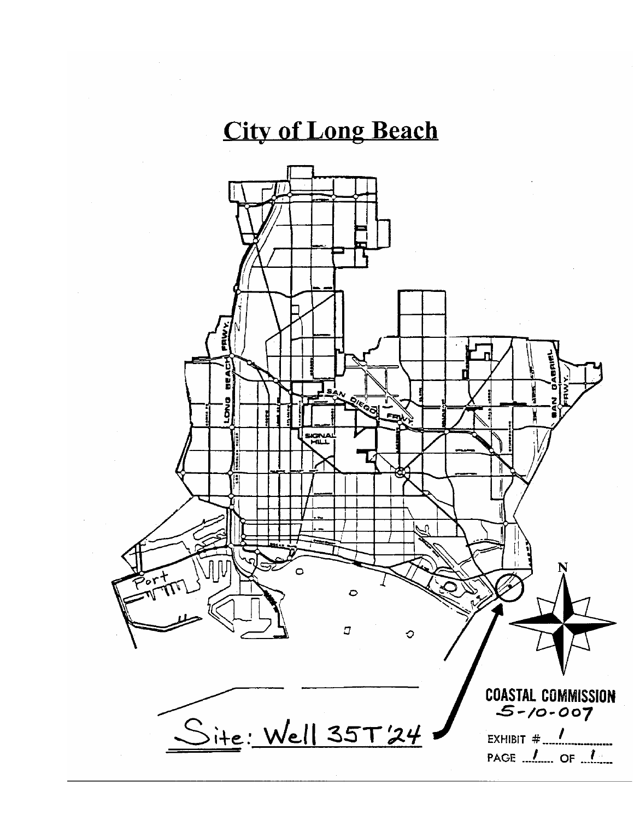# **City of Long Beach**

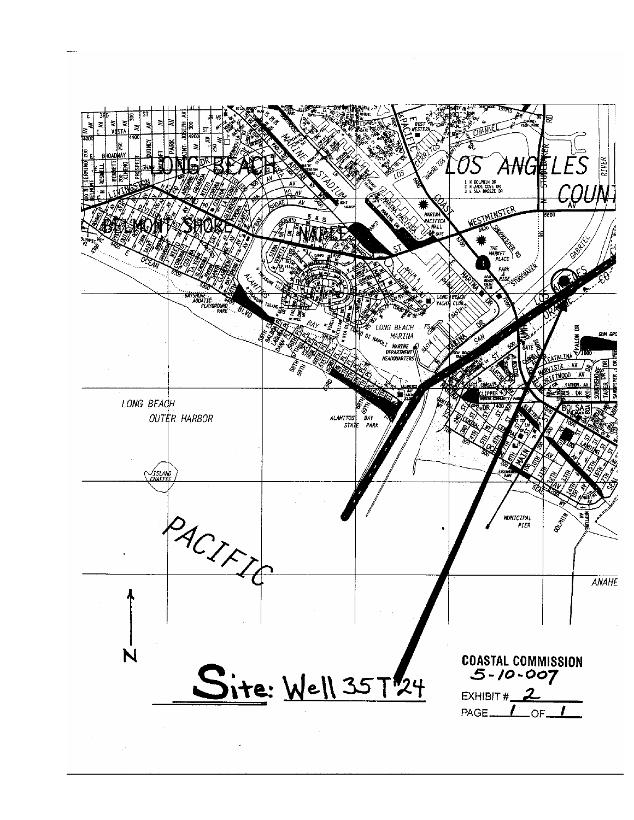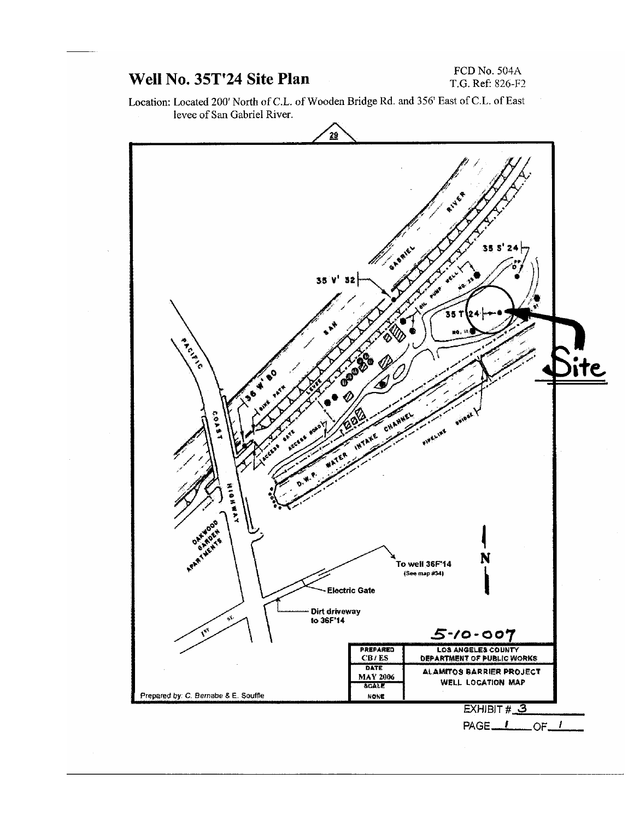# Well No. 35T'24 Site Plan

## FCD No. 504A T.G. Ref: 826-F2

Location: Located 200' North of C.L. of Wooden Bridge Rd. and 356' East of C.L. of East levee of San Gabriel River.

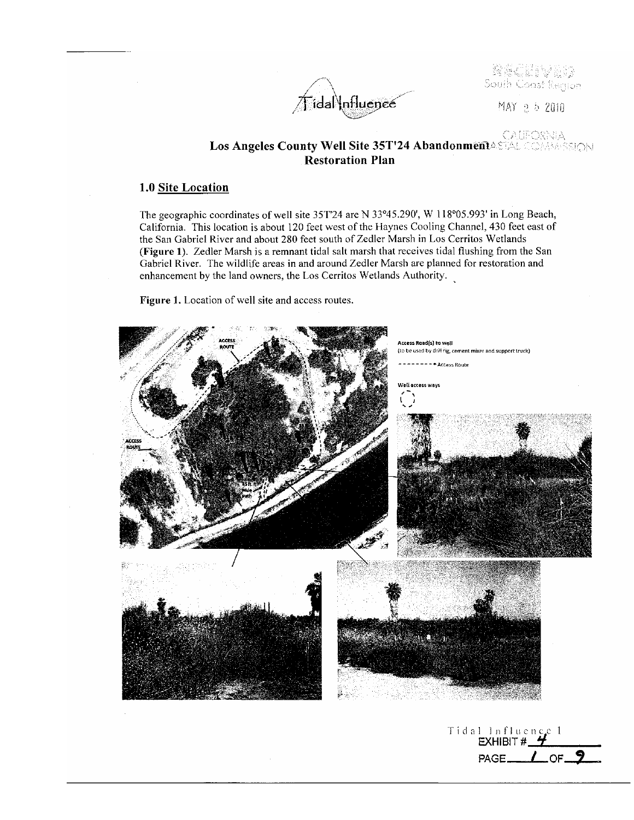/idal\nfluenee

South Coast Renjon

MAY 2 5 2010

PAGE\_

 $\sqrt{}$  of

# Los Angeles County Well Site 35T'24 AbandonmentASEAL COMMASSION **Restoration Plan**

## 1.0 Site Location

The geographic coordinates of well site 35T'24 are N 33°45.290', W 118°05.993' in Long Beach, California. This location is about 120 feet west of the Haynes Cooling Channel, 430 feet east of the San Gabriel River and about 280 feet south of Zedler Marsh in Los Cerritos Wetlands (Figure 1). Zedler Marsh is a remnant tidal salt marsh that receives tidal flushing from the San Gabriel River. The wildlife areas in and around Zedler Marsh are planned for restoration and enhancement by the land owners, the Los Cerritos Wetlands Authority.

Figure 1. Location of well site and access routes.

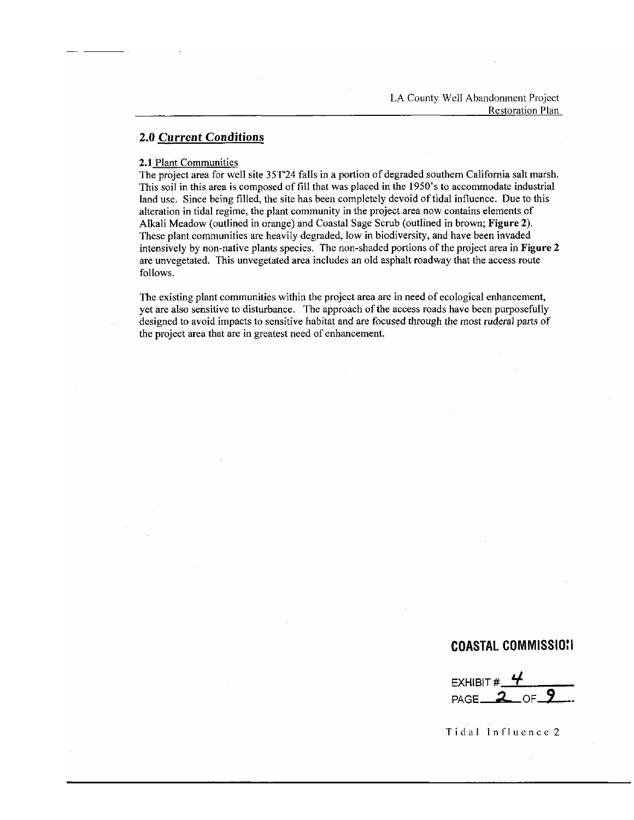### **2.0 Current Conditions**

#### 2.1 Plant Communities

The project area for well site 35T24 falls in a portion of degraded southern California salt marsh. This soil in this area is composed of fill that was placed in the 1950's to accommodate industrial land use. Since being filled, the site has been completely devoid of tidal influence. Due to this alteration in tidal regime, the plant community in the project area now contains elements of Alkali Meadow (outlined in orange) and Coastal Sage Scrub (outlined in brown; Figure 2). These plant communities are heavily degraded, low in biodiversity, and have been invaded intensively by non-native plants species. The non-shaded portions of the project area in Figure 2 are unvegetated. This unvegetated area includes an old asphalt roadway that the access route follows.

The existing plant communities within the project area are in need of ecological enhancement, yet are also sensitive to disturbance. The approach of the access roads have been purposefully designed to avoid impacts to sensitive habitat and are focused through the most ruderal parts of the project area that are in greatest need of enhancement.

## **COASTAL COMMISSION**

EXHIBIT  $#$   $#$  $PAGE$ <sub>2</sub> OF.

Tidal Influence 2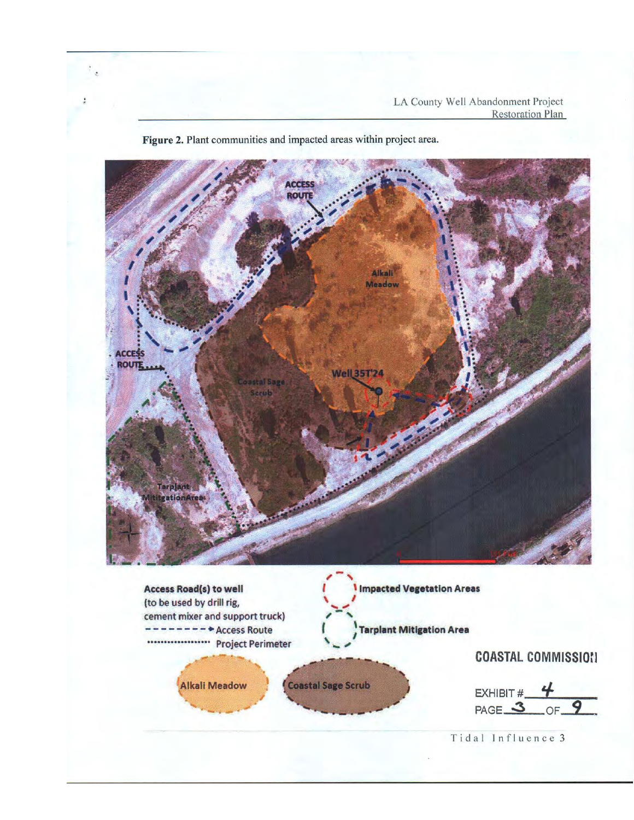

Figure 2. Plant communities and impacted areas within project area.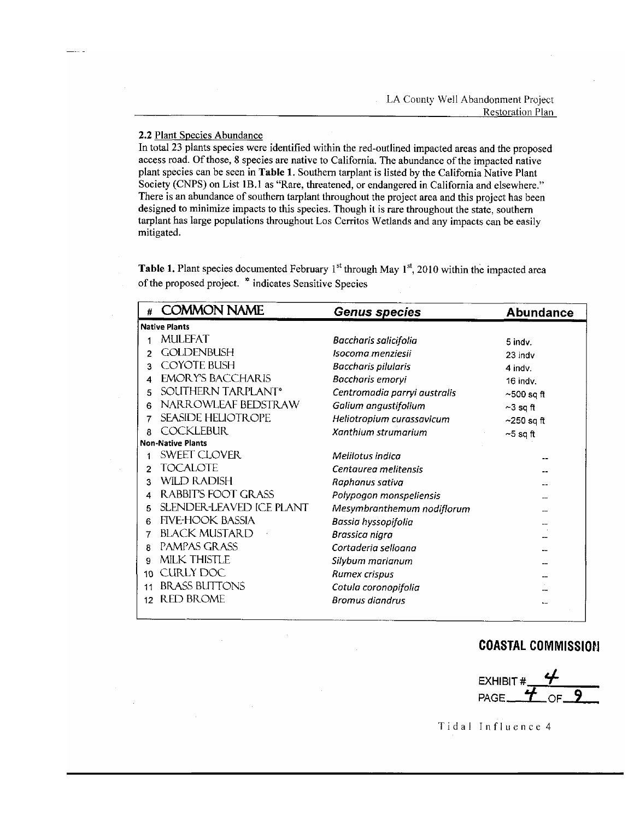### 2.2 Plant Species Abundance

In total 23 plants species were identified within the red-outlined impacted areas and the proposed access road. Of those, 8 species are native to California. The abundance of the impacted native plant species can be seen in Table 1. Southern tarplant is listed by the California Native Plant Society (CNPS) on List 1B.1 as "Rare, threatened, or endangered in California and elsewhere." There is an abundance of southern tarplant throughout the project area and this project has been designed to minimize impacts to this species. Though it is rare throughout the state, southern tarplant has large populations throughout Los Cerritos Wetlands and any impacts can be easily mitigated.

**Table 1.** Plant species documented February 1<sup>st</sup> through May  $1<sup>st</sup>$ , 2010 within the impacted area of the proposed project. \* indicates Sensitive Species

|                          | <b>COMMON NAME</b>              | <b>Genus species</b>         | <b>Abundance</b> |  |
|--------------------------|---------------------------------|------------------------------|------------------|--|
| <b>Native Plants</b>     |                                 |                              |                  |  |
| 1                        | <b>MULEFAT</b>                  | Baccharis salicifolia        | 5 indv.          |  |
| 2                        | <b>GOLDENBUSH</b>               | Isocoma menziesii            | 23 indv          |  |
| 3                        | <b>COYOTE BUSH</b>              | <b>Baccharis pilularis</b>   | 4 indv.          |  |
| 4                        | <b>EMORY'S BACCHARIS</b>        | Baccharis emoryi             | 16 indv.         |  |
| 5                        | SOUTHERN TARPLANT*              | Centromadia parryi australis | $\sim$ 500 sq ft |  |
| 6                        | NARROWLEAF BEDSTRAW             | Galium angustifolium         | ~3 sq ft         |  |
| 7                        | <b>SEASIDE HELIOTROPE</b>       | Heliotropium curassavicum    | $\sim$ 250 sq ft |  |
| R.                       | <b>COCKLEBUR</b>                | Xanthium strumarium          | $-5$ sq ft       |  |
| <b>Non-Native Plants</b> |                                 |                              |                  |  |
|                          | <b>SWEET CLOVER</b>             | Melilotus indica             |                  |  |
| 2                        | <b>TOCALOTE</b>                 | Centaurea melitensis         |                  |  |
| 3                        | <b>WILD RADISH</b>              | Raphanus sativa              |                  |  |
| 4                        | <b>RABBIT'S FOOT GRASS</b>      | Polypogon monspeliensis      |                  |  |
| 5                        | <b>SLENDER-LEAVED ICE PLANT</b> | Mesymbranthemum nodiflorum   |                  |  |
| 6                        | <b>FIVE-HOOK BASSIA</b>         | Bassia hyssopifolia          |                  |  |
| 7                        | <b>BLACK MUSTARD</b>            | Brassica nigra               |                  |  |
| R                        | PAMPAS GRASS                    | Cortaderia selloana          |                  |  |
| 9                        | <b>MILK THISTLE</b>             | Silybum marianum             |                  |  |
| 10                       | <b>CURLY DOC</b>                | Rumex crispus                |                  |  |
| 11                       | <b>BRASS BUTTONS</b>            | Cotula coronopifolia         |                  |  |
| 12                       | <b>RED BROME</b>                | <b>Bromus diandrus</b>       |                  |  |

# **COASTAL COMMISSION**



Tidal Influence 4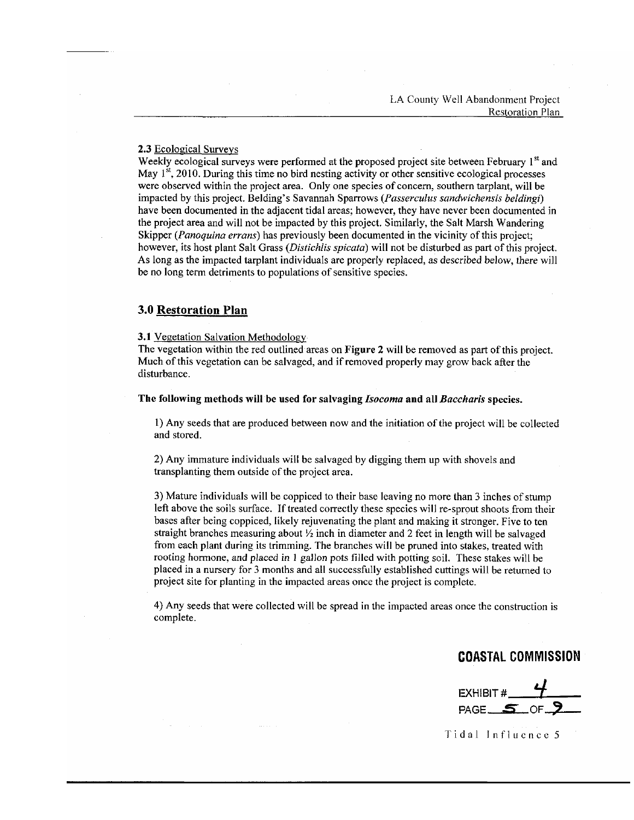### 2.3 Ecological Surveys

Weekly ecological surveys were performed at the proposed project site between February 1<sup>st</sup> and May  $1<sup>st</sup>$ , 2010. During this time no bird nesting activity or other sensitive ecological processes were observed within the project area. Only one species of concern, southern tarplant, will be impacted by this project. Belding's Savannah Sparrows (Passerculus sandwichensis beldingi) have been documented in the adjacent tidal areas; however, they have never been documented in the project area and will not be impacted by this project. Similarly, the Salt Marsh Wandering Skipper (*Panoquina errans*) has previously been documented in the vicinity of this project: however, its host plant Salt Grass (Distichlis spicata) will not be disturbed as part of this project. As long as the impacted tarplant individuals are properly replaced, as described below, there will be no long term detriments to populations of sensitive species.

## **3.0 Restoration Plan**

3.1 Vegetation Salvation Methodology

The vegetation within the red outlined areas on Figure 2 will be removed as part of this project. Much of this vegetation can be salvaged, and if removed properly may grow back after the disturbance.

The following methods will be used for salvaging Isocoma and all Baccharis species.

1) Any seeds that are produced between now and the initiation of the project will be collected and stored.

2) Any immature individuals will be salvaged by digging them up with shovels and transplanting them outside of the project area.

3) Mature individuals will be coppiced to their base leaving no more than 3 inches of stump left above the soils surface. If treated correctly these species will re-sprout shoots from their bases after being coppiced, likely rejuvenating the plant and making it stronger. Five to ten straight branches measuring about  $\frac{1}{2}$  inch in diameter and 2 feet in length will be salvaged from each plant during its trimming. The branches will be pruned into stakes, treated with rooting hormone, and placed in 1 gallon pots filled with potting soil. These stakes will be placed in a nursery for 3 months and all successfully established cuttings will be returned to project site for planting in the impacted areas once the project is complete.

4) Any seeds that were collected will be spread in the impacted areas once the construction is complete.

# **COASTAL COMMISSION**

EXHIBIT # $-4$ PAGE  $5$ 

Tidal Influence 5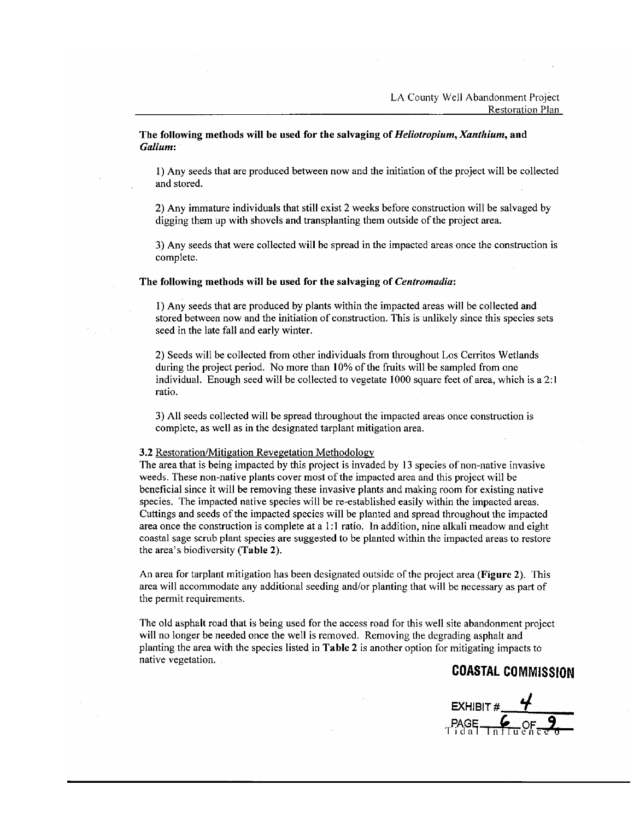The following methods will be used for the salvaging of *Heliotropium, Xanthium*, and Galium:

1) Any seeds that are produced between now and the initiation of the project will be collected and stored.

2) Any immature individuals that still exist 2 weeks before construction will be salvaged by digging them up with shovels and transplanting them outside of the project area.

3) Any seeds that were collected will be spread in the impacted areas once the construction is complete.

#### The following methods will be used for the salvaging of Centromadia:

1) Any seeds that are produced by plants within the impacted areas will be collected and stored between now and the initiation of construction. This is unlikely since this species sets seed in the late fall and early winter.

2) Seeds will be collected from other individuals from throughout Los Cerritos Wetlands during the project period. No more than 10% of the fruits will be sampled from one individual. Enough seed will be collected to vegetate 1000 square feet of area, which is a 2:1 ratio.

3) All seeds collected will be spread throughout the impacted areas once construction is complete, as well as in the designated tarplant mitigation area.

#### 3.2 Restoration/Mitigation Revegetation Methodology

The area that is being impacted by this project is invaded by 13 species of non-native invasive weeds. These non-native plants cover most of the impacted area and this project will be beneficial since it will be removing these invasive plants and making room for existing native species. The impacted native species will be re-established easily within the impacted areas. Cuttings and seeds of the impacted species will be planted and spread throughout the impacted area once the construction is complete at a 1:1 ratio. In addition, nine alkali meadow and eight coastal sage scrub plant species are suggested to be planted within the impacted areas to restore the area's biodiversity (Table 2).

An area for tarplant mitigation has been designated outside of the project area (Figure 2). This area will accommodate any additional seeding and/or planting that will be necessary as part of the permit requirements.

The old asphalt road that is being used for the access road for this well site abandonment project will no longer be needed once the well is removed. Removing the degrading asphalt and planting the area with the species listed in Table 2 is another option for mitigating impacts to native vegetation.

# **COASTAL COMMISSION**

EXHIBIT #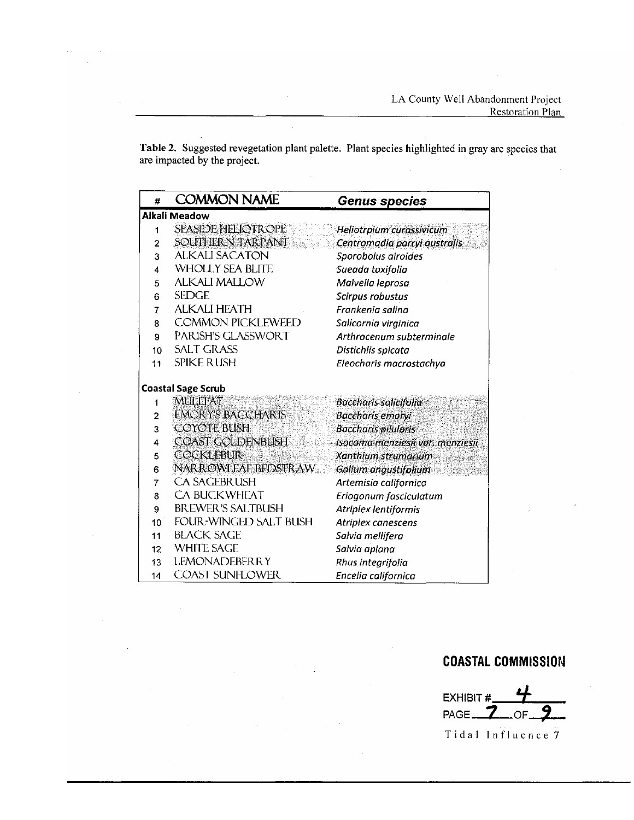Table 2. Suggested revegetation plant palette. Plant species highlighted in gray are species that are impacted by the project.

| #                         | <b>COMMON NAME</b>           | <b>Genus species</b>             |  |  |
|---------------------------|------------------------------|----------------------------------|--|--|
| Alkali Meadow             |                              |                                  |  |  |
| 1                         | <b>SEASIDE HELIOTROPE</b>    | Heliotrpium curassivicum         |  |  |
| $\overline{2}$            | <b>SOUTHERN TARPANT</b>      | Centromadia parryi australis     |  |  |
| 3                         | <b>ALKALI SACATON</b>        | Sporobolus airoides              |  |  |
| 4                         | <b>WHOLLY SEA BLITE</b>      | Sueada taxifolia                 |  |  |
| 5                         | <b>ALKALI MALLOW</b>         | Malvella leprosa                 |  |  |
| 6                         | <b>SEDGE</b>                 | Scirpus robustus                 |  |  |
| $\overline{7}$            | <b>ALKALI HEATH</b>          | Frankenia salina                 |  |  |
| 8                         | <b>COMMON PICKLEWEED</b>     | Salicornia virginica             |  |  |
| 9                         | PARISH'S GLASSWORT           | Arthrocenum subterminale         |  |  |
| 10                        | <b>SALT GRASS</b>            | Distichlis spicata               |  |  |
| 11                        | <b>SPIKE RUSH</b>            | Eleocharis macrostachya          |  |  |
| <b>Coastal Sage Scrub</b> |                              |                                  |  |  |
| 1                         | MULEFAT                      | <b>Baccharis salicifolia</b>     |  |  |
| 2                         | <b>EMORY'S BACCHARIS</b>     | <b>Baccharis emoryi</b>          |  |  |
| 3                         | <b>COYOTE BUSH</b>           | <b>Baccharls pilularis</b>       |  |  |
| 4                         | COAST GOLDENBUSH             | Isocoma menziesii var. menziesii |  |  |
| 5                         | <b>COCKLEBUR</b>             | Xanthium strumarium              |  |  |
| 6                         | NARROWLEAF BEDSTRAW          | Galium angustifolium             |  |  |
| 7                         | <b>CA SAGEBRUSH</b>          | Artemisia californica            |  |  |
| 8                         | <b>CA BUCKWHEAT</b>          | Eriogonum fasciculatum           |  |  |
| 9                         | <b>BREWER'S SALTBUSH</b>     | Atriplex lentiformis             |  |  |
| 10                        | <b>FOUR-WINGED SALT BUSH</b> | Atriplex canescens               |  |  |
| 11                        | <b>BLACK SAGE</b>            | Salvia mellifera                 |  |  |
| 12                        | <b>WHITE SAGE</b>            | Salvia apiana                    |  |  |
| 13                        | <b>LEMONADEBERRY</b>         | Rhus integrifolia                |  |  |
| 14                        | <b>COAST SUNFLOWER</b>       | Encelia californica              |  |  |

# **COASTAL COMMISSION**

EXHIBIT# PAGE\_ 7 OF

Tidal Influence 7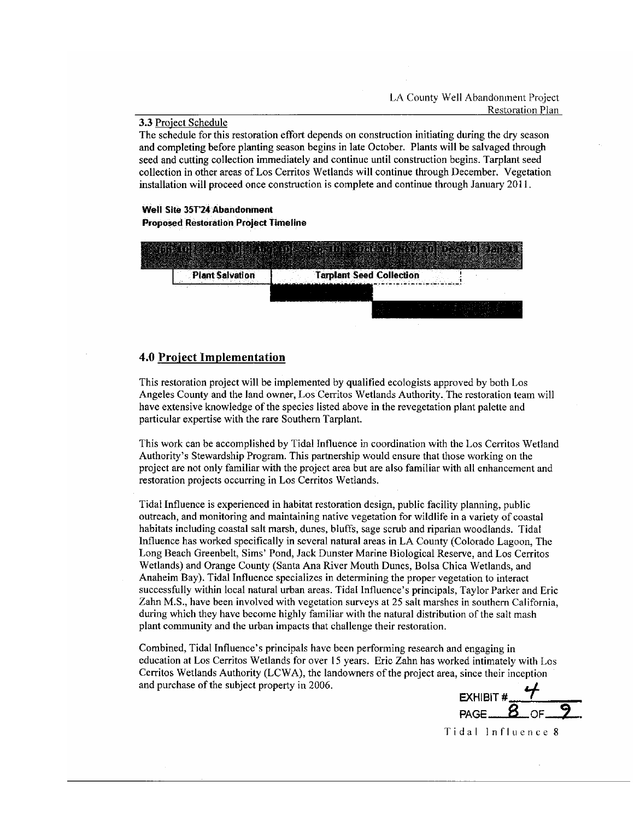#### 3.3 Project Schedule

The schedule for this restoration effort depends on construction initiating during the dry season and completing before planting season begins in late October. Plants will be salvaged through seed and cutting collection immediately and continue until construction begins. Tarplant seed collection in other areas of Los Cerritos Wetlands will continue through December. Vegetation installation will proceed once construction is complete and continue through January 2011.

## Well Site 35T'24 Abandonment **Proposed Restoration Project Timeline**



## **4.0 Project Implementation**

This restoration project will be implemented by qualified ecologists approved by both Los Angeles County and the land owner, Los Cerritos Wetlands Authority. The restoration team will have extensive knowledge of the species listed above in the revegetation plant palette and particular expertise with the rare Southern Tarplant.

This work can be accomplished by Tidal Influence in coordination with the Los Cerritos Wetland Authority's Stewardship Program. This partnership would ensure that those working on the project are not only familiar with the project area but are also familiar with all enhancement and restoration projects occurring in Los Cerritos Wetlands.

Tidal Influence is experienced in habitat restoration design, public facility planning, public outreach, and monitoring and maintaining native vegetation for wildlife in a variety of coastal habitats including coastal salt marsh, dunes, bluffs, sage scrub and riparian woodlands. Tidal Influence has worked specifically in several natural areas in LA County (Colorado Lagoon, The Long Beach Greenbelt, Sims' Pond, Jack Dunster Marine Biological Reserve, and Los Cerritos Wetlands) and Orange County (Santa Ana River Mouth Dunes, Bolsa Chica Wetlands, and Anaheim Bay). Tidal Influence specializes in determining the proper vegetation to interact successfully within local natural urban areas. Tidal Influence's principals, Taylor Parker and Eric Zahn M.S., have been involved with vegetation surveys at 25 salt marshes in southern California, during which they have become highly familiar with the natural distribution of the salt mash plant community and the urban impacts that challenge their restoration.

Combined, Tidal Influence's principals have been performing research and engaging in education at Los Cerritos Wetlands for over 15 years. Eric Zahn has worked intimately with Los Cerritos Wetlands Authority (LCWA), the landowners of the project area, since their inception and purchase of the subject property in 2006.

EXHIBIT #  $\frac{4}{8}$  OF

Tidal Influence 8